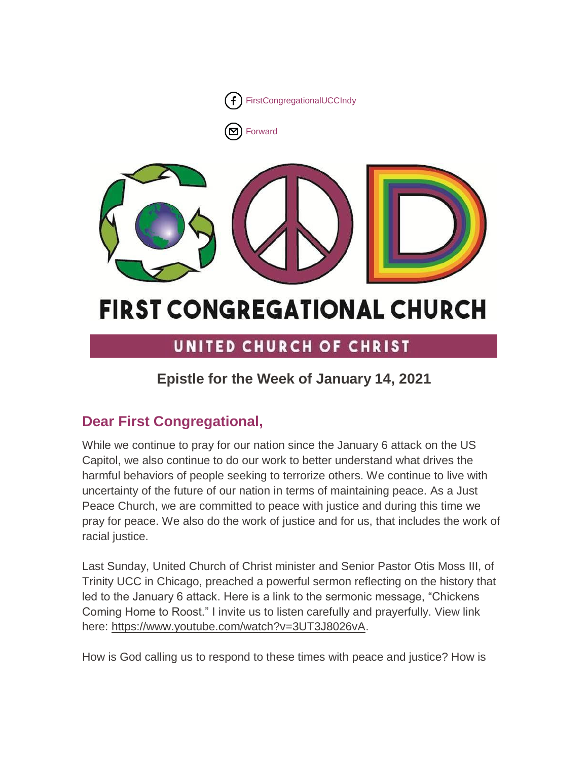

[Forward](http://us16.forward-to-friend.com/forward?u=7a2e4c501545b6d78729a64a1&id=5db6d7114c&e=%5bUNIQID%5d)



# **FIRST CONGREGATIONAL CHURCH**

# UNITED CHURCH OF CHRIST

# **Epistle for the Week of January 14, 2021**

# **Dear First Congregational,**

While we continue to pray for our nation since the January 6 attack on the US Capitol, we also continue to do our work to better understand what drives the harmful behaviors of people seeking to terrorize others. We continue to live with uncertainty of the future of our nation in terms of maintaining peace. As a Just Peace Church, we are committed to peace with justice and during this time we pray for peace. We also do the work of justice and for us, that includes the work of racial justice.

Last Sunday, United Church of Christ minister and Senior Pastor Otis Moss III, of Trinity UCC in Chicago, preached a powerful sermon reflecting on the history that led to the January 6 attack. Here is a link to the sermonic message, "Chickens Coming Home to Roost." I invite us to listen carefully and prayerfully. View link here: [https://www.youtube.com/watch?v=3UT3J8026vA.](https://www.youtube.com/watch?v=3UT3J8026vA)

How is God calling us to respond to these times with peace and justice? How is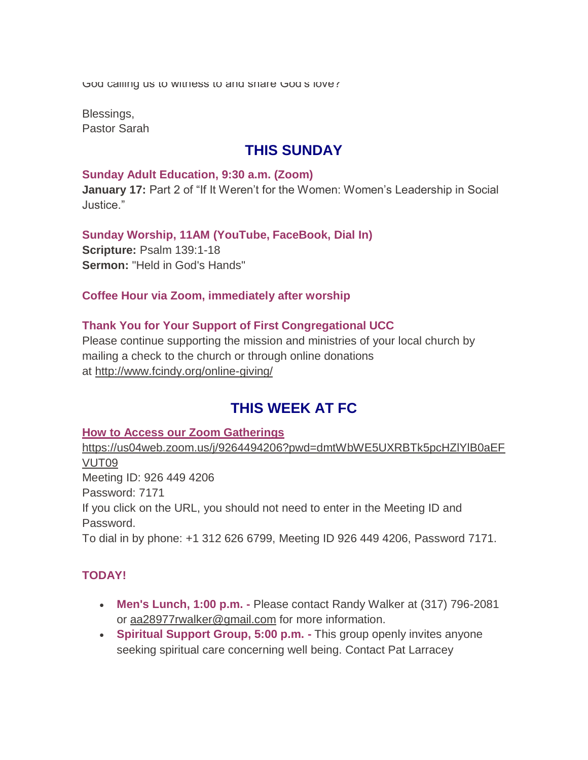God calling us to withess to and share God's love?

Blessings, Pastor Sarah

# **THIS SUNDAY**

#### **Sunday Adult Education, 9:30 a.m. (Zoom)**

**January 17:** Part 2 of "If It Weren't for the Women: Women's Leadership in Social Justice."

**Sunday Worship, 11AM (YouTube, FaceBook, Dial In) Scripture:** Psalm 139:1-18 **Sermon:** "Held in God's Hands"

#### **Coffee Hour via Zoom, immediately after worship**

#### **Thank You for Your Support of First Congregational UCC**

Please continue supporting the mission and ministries of your local church by mailing a check to the church or through online donations at <http://www.fcindy.org/online-giving/>

# **THIS WEEK AT FC**

#### **How to Access our Zoom Gatherings**

[https://us04web.zoom.us/j/9264494206?pwd=dmtWbWE5UXRBTk5pcHZlYlB0aEF](https://us04web.zoom.us/j/9264494206?pwd=dmtWbWE5UXRBTk5pcHZlYlB0aEFVUT09) [VUT09](https://us04web.zoom.us/j/9264494206?pwd=dmtWbWE5UXRBTk5pcHZlYlB0aEFVUT09) Meeting ID: 926 449 4206 Password: 7171 If you click on the URL, you should not need to enter in the Meeting ID and Password. To dial in by phone: +1 312 626 6799, Meeting ID 926 449 4206, Password 7171.

## **TODAY!**

- **Men's Lunch, 1:00 p.m. -** Please contact Randy Walker at (317) 796-2081 or aa28977rwalker@gmail.com for more information.
- **Spiritual Support Group, 5:00 p.m. -** This group openly invites anyone seeking spiritual care concerning well being. Contact Pat Larracey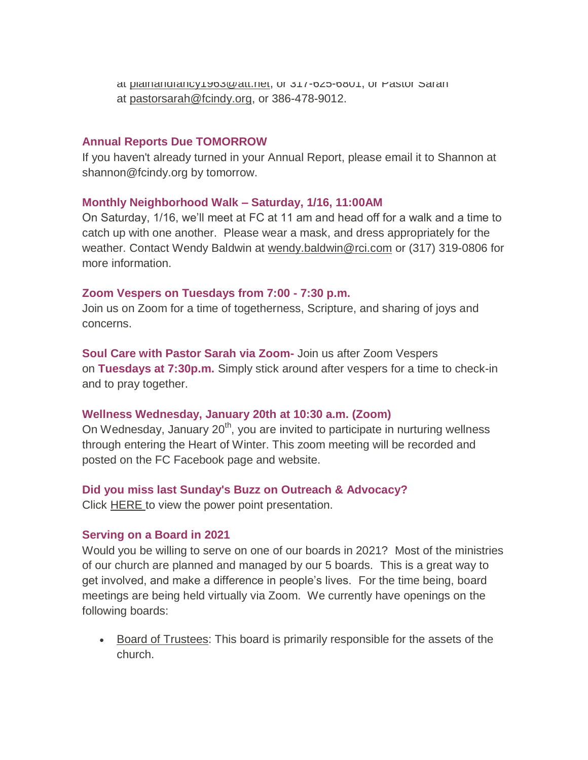at plainandrancy repowdit.net, or 317-625-6801, or Pastor Sarah at [pastorsarah@fcindy.org,](mailto:pastorsarah@fcindy.org) or 386-478-9012.

#### **Annual Reports Due TOMORROW**

If you haven't already turned in your Annual Report, please email it to Shannon at shannon@fcindy.org by tomorrow.

#### **Monthly Neighborhood Walk – Saturday, 1/16, 11:00AM**

On Saturday, 1/16, we'll meet at FC at 11 am and head off for a walk and a time to catch up with one another. Please wear a mask, and dress appropriately for the weather. Contact Wendy Baldwin at [wendy.baldwin@rci.com](mailto:wendy.baldwin@rci.com) or (317) 319-0806 for more information.

#### **Zoom Vespers on Tuesdays from 7:00 - 7:30 p.m.**

Join us on Zoom for a time of togetherness, Scripture, and sharing of joys and concerns.

**Soul Care with Pastor Sarah via Zoom-** Join us after Zoom Vespers on **Tuesdays at 7:30p.m.** Simply stick around after vespers for a time to check-in and to pray together.

#### **Wellness Wednesday, January 20th at 10:30 a.m. (Zoom)**

On Wednesday, January  $20<sup>th</sup>$ , you are invited to participate in nurturing wellness through entering the Heart of Winter. This zoom meeting will be recorded and posted on the FC Facebook page and website.

#### **Did you miss last Sunday's Buzz on Outreach & Advocacy?**

Click **[HERE](https://mcusercontent.com/7a2e4c501545b6d78729a64a1/files/ce096b43-2e61-41aa-be79-444568a3767d/PPT_New_Vision_for_Outreach_Advocacy_1_10_21.pptx)** [t](https://mcusercontent.com/7a2e4c501545b6d78729a64a1/files/ce096b43-2e61-41aa-be79-444568a3767d/PPT_New_Vision_for_Outreach_Advocacy_1_10_21.pptx)o view the power point presentation.

#### **Serving on a Board in 2021**

Would you be willing to serve on one of our boards in 2021? Most of the ministries of our church are planned and managed by our 5 boards. This is a great way to get involved, and make a difference in people's lives. For the time being, board meetings are being held virtually via Zoom. We currently have openings on the following boards:

• Board of Trustees: This board is primarily responsible for the assets of the church.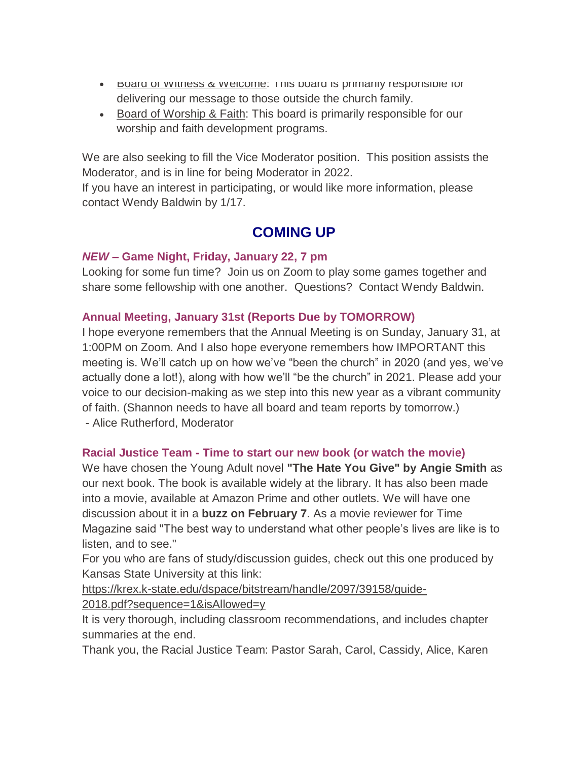- **BOARD OF WITHESS & WEIGOTHE:** This board is primarily responsible for delivering our message to those outside the church family.
- Board of Worship & Faith: This board is primarily responsible for our worship and faith development programs.

We are also seeking to fill the Vice Moderator position. This position assists the Moderator, and is in line for being Moderator in 2022.

If you have an interest in participating, or would like more information, please contact Wendy Baldwin by 1/17.

# **COMING UP**

## *NEW* **– Game Night, Friday, January 22, 7 pm**

Looking for some fun time? Join us on Zoom to play some games together and share some fellowship with one another. Questions? Contact Wendy Baldwin.

## **Annual Meeting, January 31st (Reports Due by TOMORROW)**

I hope everyone remembers that the Annual Meeting is on Sunday, January 31, at 1:00PM on Zoom. And I also hope everyone remembers how IMPORTANT this meeting is. We'll catch up on how we've "been the church" in 2020 (and yes, we've actually done a lot!), along with how we'll "be the church" in 2021. Please add your voice to our decision-making as we step into this new year as a vibrant community of faith. (Shannon needs to have all board and team reports by tomorrow.) - Alice Rutherford, Moderator

# **Racial Justice Team - Time to start our new book (or watch the movie)**

We have chosen the Young Adult novel **"The Hate You Give" by Angie Smith** as our next book. The book is available widely at the library. It has also been made into a movie, available at Amazon Prime and other outlets. We will have one discussion about it in a **buzz on February 7**. As a movie reviewer for Time Magazine said "The best way to understand what other people's lives are like is to listen, and to see."

For you who are fans of study/discussion guides, check out this one produced by Kansas State University at this link:

[https://krex.k-state.edu/dspace/bitstream/handle/2097/39158/guide-](https://krex.k-state.edu/dspace/bitstream/handle/2097/39158/guide-2018.pdf?sequence=1&isAllowed=y)

[2018.pdf?sequence=1&isAllowed=y](https://krex.k-state.edu/dspace/bitstream/handle/2097/39158/guide-2018.pdf?sequence=1&isAllowed=y)

It is very thorough, including classroom recommendations, and includes chapter summaries at the end.

Thank you, the Racial Justice Team: Pastor Sarah, Carol, Cassidy, Alice, Karen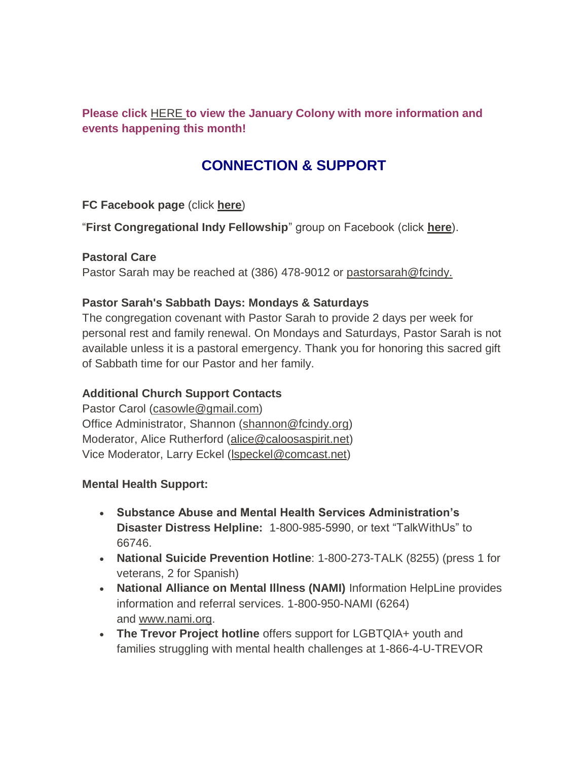**Please click** [HERE](https://mcusercontent.com/7a2e4c501545b6d78729a64a1/files/5d6c1642-d4df-452d-8ead-028d2af0d818/January_Colony_2021.01.pdf) **to view the January Colony with more information and events happening this month!**

# **CONNECTION & SUPPORT**

**FC Facebook page** (click **[here](https://www.facebook.com/FirstCongregationalUCCIndy/)**)

"**First Congregational Indy Fellowship**" group on Facebook (click **[here](https://www.facebook.com/groups/521333455186422/)**).

## **Pastoral Care**

Pastor Sarah may be reached at (386) 478-9012 or [pastorsarah@fcindy.](mailto:pastorsarah@fcindy.org)

## **Pastor Sarah's Sabbath Days: Mondays & Saturdays**

The congregation covenant with Pastor Sarah to provide 2 days per week for personal rest and family renewal. On Mondays and Saturdays, Pastor Sarah is not available unless it is a pastoral emergency. Thank you for honoring this sacred gift of Sabbath time for our Pastor and her family.

# **Additional Church Support Contacts**

Pastor Carol [\(casowle@gmail.com\)](mailto:casowle@gmail.com) Office Administrator, Shannon [\(shannon@fcindy.org\)](mailto:shannon@fcindy.org) Moderator, Alice Rutherford [\(alice@caloosaspirit.net\)](mailto:alice@caloosaspirit.net) Vice Moderator, Larry Eckel [\(lspeckel@comcast.net\)](mailto:lspeckel@comcast.net)

## **Mental Health Support:**

- **Substance Abuse and Mental Health Services Administration's Disaster Distress Helpline:** 1-800-985-5990, or text "TalkWithUs" to 66746.
- **National Suicide Prevention Hotline**: 1-800-273-TALK (8255) (press 1 for veterans, 2 for Spanish)
- **National Alliance on Mental Illness (NAMI)** Information HelpLine provides information and referral services. 1-800-950-NAMI (6264) and [www.nami.org.](http://www.nami.org/)
- **The Trevor Project hotline** offers support for LGBTQIA+ youth and families struggling with mental health challenges at 1-866-4-U-TREVOR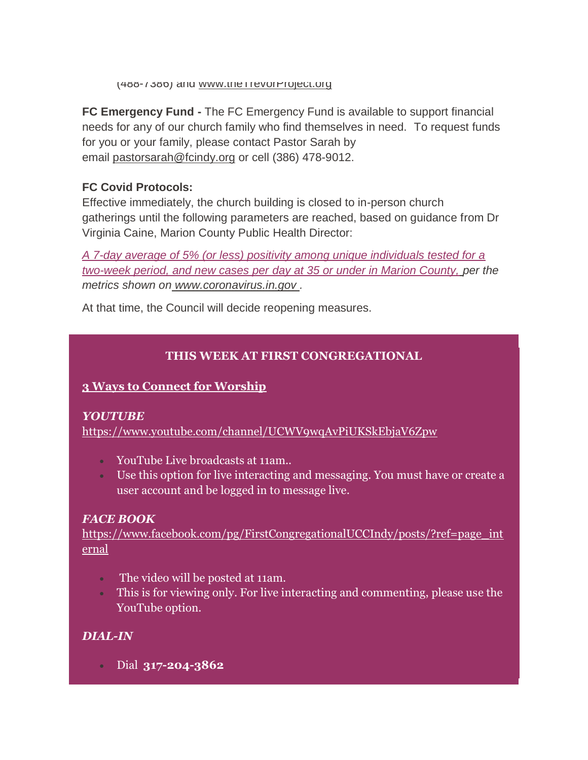(488-7386) and [www.theTrevorProject.org](http://www.thetrevorproject.org/)

**FC Emergency Fund -** The FC Emergency Fund is available to support financial needs for any of our church family who find themselves in need. To request funds for you or your family, please contact Pastor Sarah by email [pastorsarah@fcindy.org](mailto:pastorsarah@fcindy.org) or cell (386) 478-9012.

## **FC Covid Protocols:**

Effective immediately, the church building is closed to in-person church gatherings until the following parameters are reached, based on guidance from Dr Virginia Caine, Marion County Public Health Director:

*A 7-day average of 5% (or less) positivity among unique individuals tested for a two-week period, and new cases per day at 35 or under in Marion County, per the metrics shown on [www.coronavirus.in.gov](http://www.coronavirus.in.gov/) .* 

At that time, the Council will decide reopening measures.

# **THIS WEEK AT FIRST CONGREGATIONAL**

## **3 Ways to Connect for Worship**

## *YOUTUBE*

<https://www.youtube.com/channel/UCWV9wqAvPiUKSkEbjaV6Zpw>

- YouTube Live broadcasts at 11am..
- Use this option for live interacting and messaging. You must have or create a user account and be logged in to message live.

# *FACE BOOK*

[https://www.facebook.com/pg/FirstCongregationalUCCIndy/posts/?ref=page\\_int](https://www.facebook.com/pg/FirstCongregationalUCCIndy/posts/?ref=page_internal) [ernal](https://www.facebook.com/pg/FirstCongregationalUCCIndy/posts/?ref=page_internal)

- The video will be posted at 11am.
- **This is for viewing only. For live interacting and commenting, please use the** YouTube option.

# *DIAL-IN*

Dial **317-204-3862**